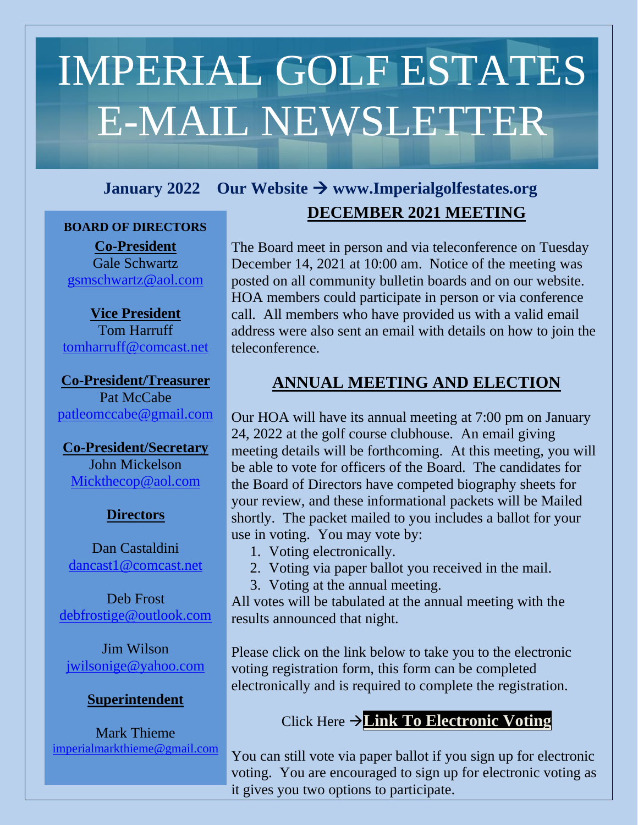# IMPERIAL GOLF ESTATES E-MAIL NEWSLETTER

# **January 2022 Our Website** → **www.Imperialgolfestates.org**

#### **BOARD OF DIRECTORS**

**Co-President** Gale Schwartz [gsmschwartz@aol.com](mailto:gsmschwartz@aol.com)

**Vice President** Tom Harruff [tomharruff@comcast.net](mailto:tomharruff@comcast.net)

**Co-President/Treasurer**  Pat McCabe [patleomccabe@gmail.com](mailto:patleomccabe@gmail.com)

**Co-President/Secretary** John Mickelson [Mickthecop@aol.com](mailto:Mickthecop@aol.com)

#### **Directors**

Dan Castaldini [dancast1@comcast.net](mailto:dancast1@comcast.net)

Deb Frost [debfrostige@outlook.com](mailto:debfrostige@outlook.com)

Jim Wilson [jwilsonige@yahoo.com](mailto:jwilsonige@yahoo.com)

#### **Superintendent**

Mark Thieme [imperialmarkthieme@gmail.com](mailto:imperialmarkthieme@gmail.com)

# **INCEMBER 2021 MEETING**

The Board meet in person and via teleconference on Tuesday December 14, 2021 at 10:00 am. Notice of the meeting was posted on all community bulletin boards and on our website. HOA members could participate in person or via conference call. All members who have provided us with a valid email address were also sent an email with details on how to join the teleconference.

# **ANNUAL MEETING AND ELECTION**

Our HOA will have its annual meeting at 7:00 pm on January 24, 2022 at the golf course clubhouse. An email giving meeting details will be forthcoming. At this meeting, you will be able to vote for officers of the Board. The candidates for the Board of Directors have competed biography sheets for your review, and these informational packets will be Mailed shortly. The packet mailed to you includes a ballot for your use in voting. You may vote by:

- 1. Voting electronically.
- 2. Voting via paper ballot you received in the mail.
- 3. Voting at the annual meeting.

All votes will be tabulated at the annual meeting with the results announced that night.

Please click on the link below to take you to the electronic voting registration form, this form can be completed electronically and is required to complete the registration.

# Click Here →**Link To [Electronic](https://na2.documents.adobe.com/public/esignWidget?wid=CBFCIBAA3AAABLblqZhBfSN1oJXKmlQnlJBjQOoqN4x0f63FuI2iTYvDxIoihHYI9kSsT3UW_szUSgpjjiY8*) Voting**

You can still vote via paper ballot if you sign up for electronic voting. You are encouraged to sign up for electronic voting as it gives you two options to participate.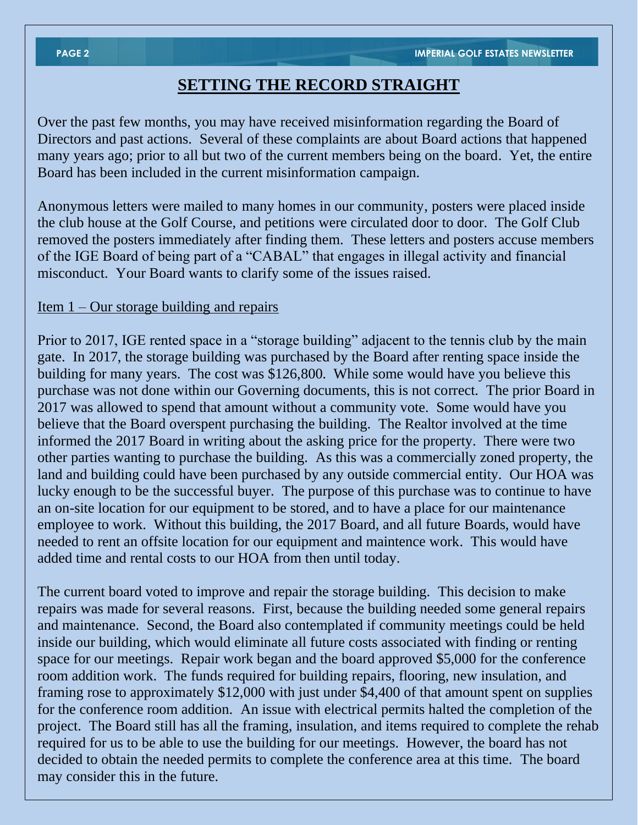# **SETTING THE RECORD STRAIGHT**

Over the past few months, you may have received misinformation regarding the Board of Directors and past actions. Several of these complaints are about Board actions that happened many years ago; prior to all but two of the current members being on the board. Yet, the entire Board has been included in the current misinformation campaign.

Anonymous letters were mailed to many homes in our community, posters were placed inside the club house at the Golf Course, and petitions were circulated door to door. The Golf Club removed the posters immediately after finding them. These letters and posters accuse members of the IGE Board of being part of a "CABAL" that engages in illegal activity and financial misconduct. Your Board wants to clarify some of the issues raised.

#### Item 1 – Our storage building and repairs

Prior to 2017, IGE rented space in a "storage building" adjacent to the tennis club by the main gate. In 2017, the storage building was purchased by the Board after renting space inside the building for many years. The cost was \$126,800. While some would have you believe this purchase was not done within our Governing documents, this is not correct. The prior Board in 2017 was allowed to spend that amount without a community vote. Some would have you believe that the Board overspent purchasing the building. The Realtor involved at the time informed the 2017 Board in writing about the asking price for the property. There were two other parties wanting to purchase the building. As this was a commercially zoned property, the land and building could have been purchased by any outside commercial entity. Our HOA was lucky enough to be the successful buyer. The purpose of this purchase was to continue to have an on-site location for our equipment to be stored, and to have a place for our maintenance employee to work. Without this building, the 2017 Board, and all future Boards, would have needed to rent an offsite location for our equipment and maintence work. This would have added time and rental costs to our HOA from then until today.

The current board voted to improve and repair the storage building. This decision to make repairs was made for several reasons. First, because the building needed some general repairs and maintenance. Second, the Board also contemplated if community meetings could be held inside our building, which would eliminate all future costs associated with finding or renting space for our meetings. Repair work began and the board approved \$5,000 for the conference room addition work. The funds required for building repairs, flooring, new insulation, and framing rose to approximately \$12,000 with just under \$4,400 of that amount spent on supplies for the conference room addition. An issue with electrical permits halted the completion of the project. The Board still has all the framing, insulation, and items required to complete the rehab required for us to be able to use the building for our meetings. However, the board has not decided to obtain the needed permits to complete the conference area at this time. The board may consider this in the future.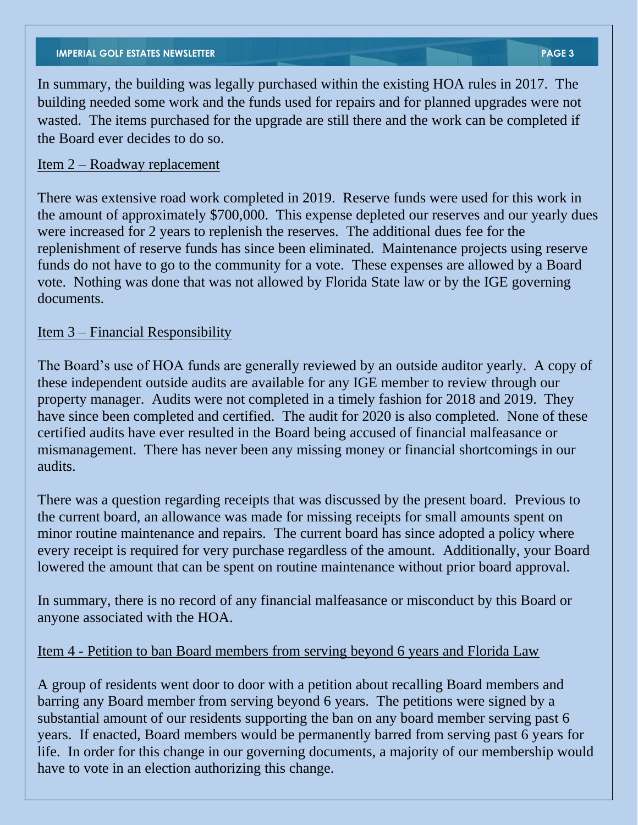In summary, the building was legally purchased within the existing HOA rules in 2017. The building needed some work and the funds used for repairs and for planned upgrades were not wasted. The items purchased for the upgrade are still there and the work can be completed if the Board ever decides to do so.

#### Item 2 – Roadway replacement

There was extensive road work completed in 2019. Reserve funds were used for this work in the amount of approximately \$700,000. This expense depleted our reserves and our yearly dues were increased for 2 years to replenish the reserves. The additional dues fee for the replenishment of reserve funds has since been eliminated. Maintenance projects using reserve funds do not have to go to the community for a vote. These expenses are allowed by a Board vote. Nothing was done that was not allowed by Florida State law or by the IGE governing documents.

#### Item 3 – Financial Responsibility

The Board's use of HOA funds are generally reviewed by an outside auditor yearly. A copy of these independent outside audits are available for any IGE member to review through our property manager. Audits were not completed in a timely fashion for 2018 and 2019. They have since been completed and certified. The audit for 2020 is also completed. None of these certified audits have ever resulted in the Board being accused of financial malfeasance or mismanagement. There has never been any missing money or financial shortcomings in our audits.

There was a question regarding receipts that was discussed by the present board. Previous to the current board, an allowance was made for missing receipts for small amounts spent on minor routine maintenance and repairs. The current board has since adopted a policy where every receipt is required for very purchase regardless of the amount. Additionally, your Board lowered the amount that can be spent on routine maintenance without prior board approval.

In summary, there is no record of any financial malfeasance or misconduct by this Board or anyone associated with the HOA.

#### Item 4 - Petition to ban Board members from serving beyond 6 years and Florida Law

A group of residents went door to door with a petition about recalling Board members and barring any Board member from serving beyond 6 years. The petitions were signed by a substantial amount of our residents supporting the ban on any board member serving past 6 years. If enacted, Board members would be permanently barred from serving past 6 years for life. In order for this change in our governing documents, a majority of our membership would have to vote in an election authorizing this change.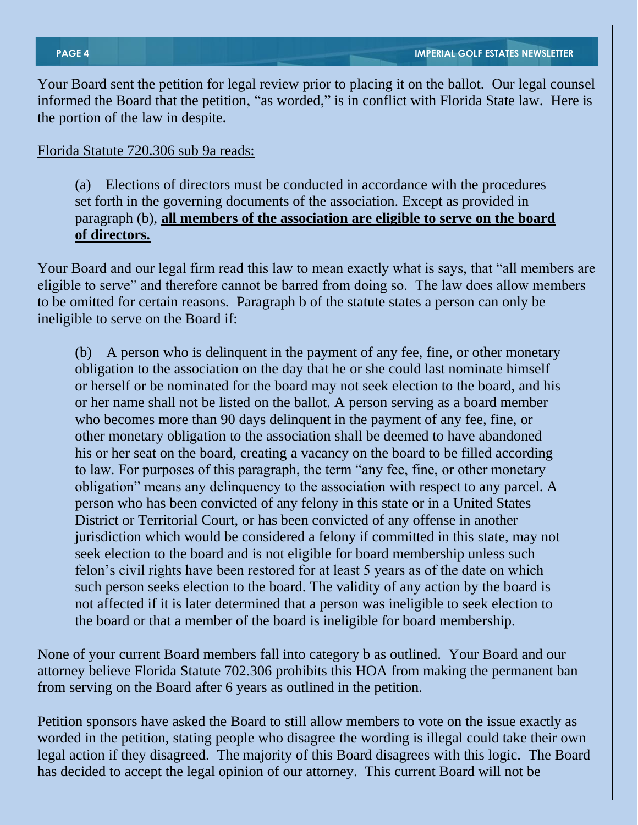Your Board sent the petition for legal review prior to placing it on the ballot. Our legal counsel informed the Board that the petition, "as worded," is in conflict with Florida State law. Here is the portion of the law in despite.

#### Florida Statute 720.306 sub 9a reads:

(a) Elections of directors must be conducted in accordance with the procedures set forth in the governing documents of the association. Except as provided in paragraph (b), **all members of the association are eligible to serve on the board of directors.**

Your Board and our legal firm read this law to mean exactly what is says, that "all members are eligible to serve" and therefore cannot be barred from doing so. The law does allow members to be omitted for certain reasons. Paragraph b of the statute states a person can only be ineligible to serve on the Board if:

(b) A person who is delinquent in the payment of any fee, fine, or other monetary obligation to the association on the day that he or she could last nominate himself or herself or be nominated for the board may not seek election to the board, and his or her name shall not be listed on the ballot. A person serving as a board member who becomes more than 90 days delinquent in the payment of any fee, fine, or other monetary obligation to the association shall be deemed to have abandoned his or her seat on the board, creating a vacancy on the board to be filled according to law. For purposes of this paragraph, the term "any fee, fine, or other monetary obligation" means any delinquency to the association with respect to any parcel. A person who has been convicted of any felony in this state or in a United States District or Territorial Court, or has been convicted of any offense in another jurisdiction which would be considered a felony if committed in this state, may not seek election to the board and is not eligible for board membership unless such felon's civil rights have been restored for at least 5 years as of the date on which such person seeks election to the board. The validity of any action by the board is not affected if it is later determined that a person was ineligible to seek election to the board or that a member of the board is ineligible for board membership.

None of your current Board members fall into category b as outlined. Your Board and our attorney believe Florida Statute 702.306 prohibits this HOA from making the permanent ban from serving on the Board after 6 years as outlined in the petition.

Petition sponsors have asked the Board to still allow members to vote on the issue exactly as worded in the petition, stating people who disagree the wording is illegal could take their own legal action if they disagreed. The majority of this Board disagrees with this logic. The Board has decided to accept the legal opinion of our attorney. This current Board will not be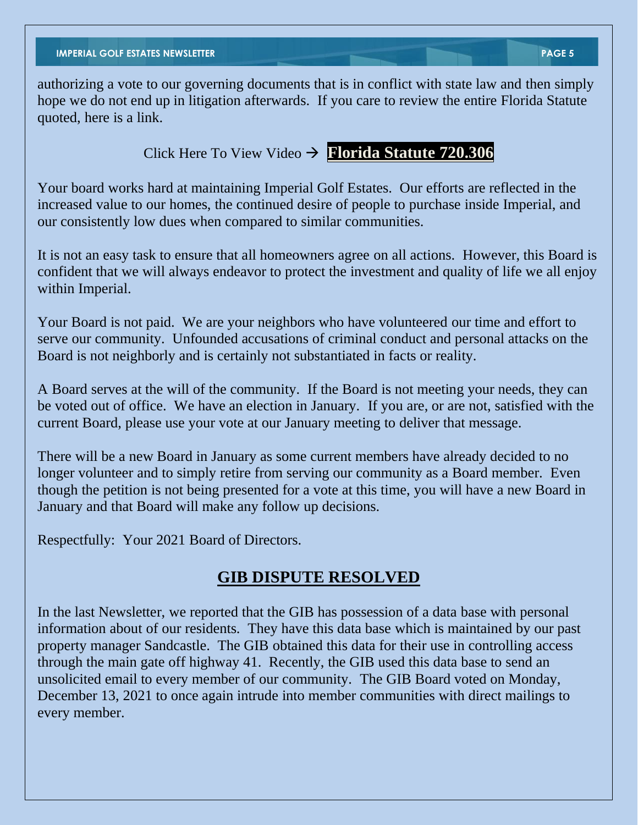authorizing a vote to our governing documents that is in conflict with state law and then simply hope we do not end up in litigation afterwards. If you care to review the entire Florida Statute quoted, here is a link.

Click Here To View Video → **Florida Statute [720.306](http://www.leg.state.fl.us/statutes/index.cfm?App_mode=Display_Statute&URL=0700-0799/0720/0720.html)**

Your board works hard at maintaining Imperial Golf Estates. Our efforts are reflected in the increased value to our homes, the continued desire of people to purchase inside Imperial, and our consistently low dues when compared to similar communities.

It is not an easy task to ensure that all homeowners agree on all actions. However, this Board is confident that we will always endeavor to protect the investment and quality of life we all enjoy within Imperial.

Your Board is not paid. We are your neighbors who have volunteered our time and effort to serve our community. Unfounded accusations of criminal conduct and personal attacks on the Board is not neighborly and is certainly not substantiated in facts or reality.

A Board serves at the will of the community. If the Board is not meeting your needs, they can be voted out of office. We have an election in January. If you are, or are not, satisfied with the current Board, please use your vote at our January meeting to deliver that message.

There will be a new Board in January as some current members have already decided to no longer volunteer and to simply retire from serving our community as a Board member. Even though the petition is not being presented for a vote at this time, you will have a new Board in January and that Board will make any follow up decisions.

Respectfully: Your 2021 Board of Directors.

# **GIB DISPUTE RESOLVED**

In the last Newsletter, we reported that the GIB has possession of a data base with personal information about of our residents. They have this data base which is maintained by our past property manager Sandcastle. The GIB obtained this data for their use in controlling access through the main gate off highway 41. Recently, the GIB used this data base to send an unsolicited email to every member of our community. The GIB Board voted on Monday, December 13, 2021 to once again intrude into member communities with direct mailings to every member.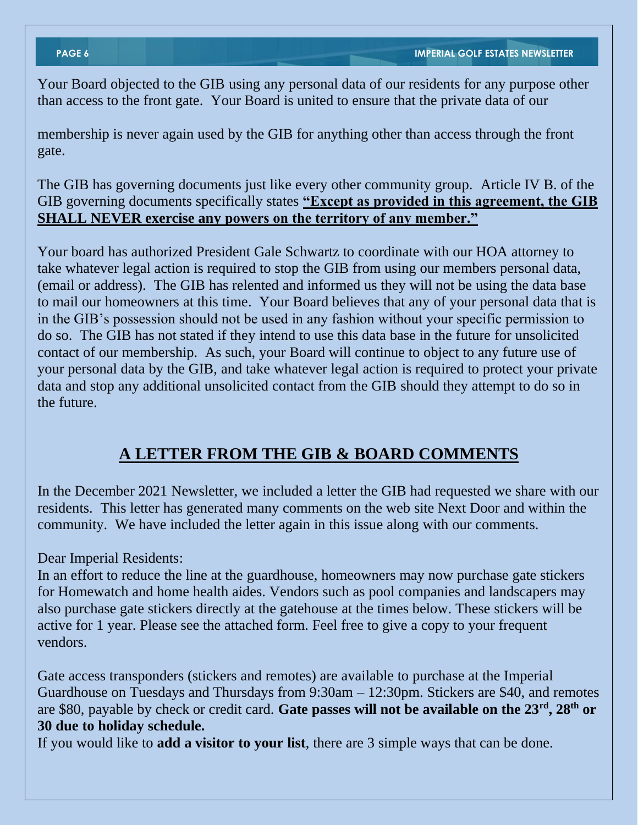Your Board objected to the GIB using any personal data of our residents for any purpose other than access to the front gate. Your Board is united to ensure that the private data of our

membership is never again used by the GIB for anything other than access through the front gate.

The GIB has governing documents just like every other community group. Article IV B. of the GIB governing documents specifically states **"Except as provided in this agreement, the GIB SHALL NEVER exercise any powers on the territory of any member."** 

Your board has authorized President Gale Schwartz to coordinate with our HOA attorney to take whatever legal action is required to stop the GIB from using our members personal data, (email or address). The GIB has relented and informed us they will not be using the data base to mail our homeowners at this time. Your Board believes that any of your personal data that is in the GIB's possession should not be used in any fashion without your specific permission to do so. The GIB has not stated if they intend to use this data base in the future for unsolicited contact of our membership. As such, your Board will continue to object to any future use of your personal data by the GIB, and take whatever legal action is required to protect your private data and stop any additional unsolicited contact from the GIB should they attempt to do so in the future.

# **A LETTER FROM THE GIB & BOARD COMMENTS**

In the December 2021 Newsletter, we included a letter the GIB had requested we share with our residents. This letter has generated many comments on the web site Next Door and within the community. We have included the letter again in this issue along with our comments.

Dear Imperial Residents:

In an effort to reduce the line at the guardhouse, homeowners may now purchase gate stickers for Homewatch and home health aides. Vendors such as pool companies and landscapers may also purchase gate stickers directly at the gatehouse at the times below. These stickers will be active for 1 year. Please see the attached form. Feel free to give a copy to your frequent vendors.

Gate access transponders (stickers and remotes) are available to purchase at the Imperial Guardhouse on Tuesdays and Thursdays from 9:30am – 12:30pm. Stickers are \$40, and remotes are \$80, payable by check or credit card. **Gate passes will not be available on the 23rd, 28th or 30 due to holiday schedule.**

If you would like to **add a visitor to your list**, there are 3 simple ways that can be done.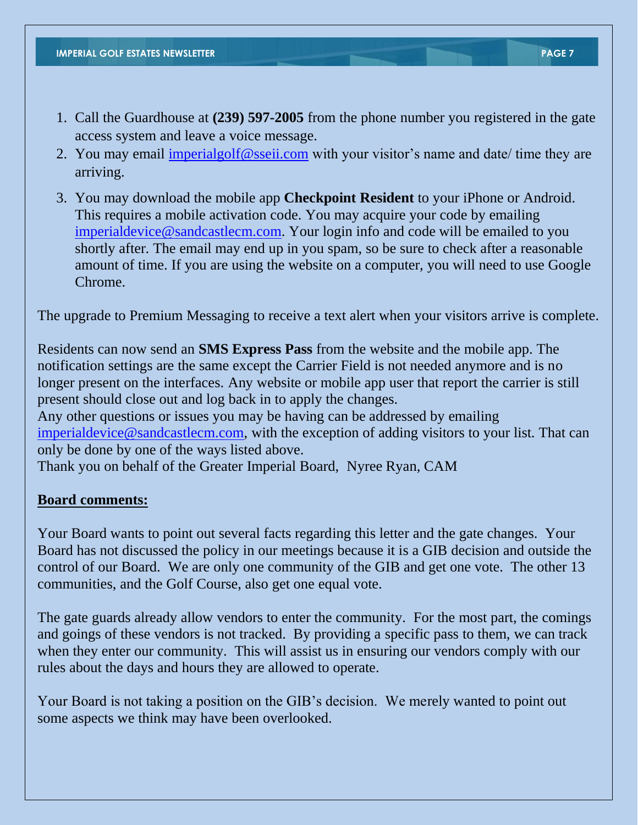- 1. Call the Guardhouse at **(239) 597-2005** from the phone number you registered in the gate access system and leave a voice message.
- 2. You may email [imperialgolf@sseii.com](mailto:imperialgolf@sseii.com) with your visitor's name and date/ time they are arriving.
- 3. You may download the mobile app **Checkpoint Resident** to your iPhone or Android. This requires a mobile activation code. You may acquire your code by emailing [imperialdevice@sandcastlecm.com.](mailto:imperialdevice@sandcastlecm.com) Your login info and code will be emailed to you shortly after. The email may end up in you spam, so be sure to check after a reasonable amount of time. If you are using the website on a computer, you will need to use Google Chrome.

The upgrade to Premium Messaging to receive a text alert when your visitors arrive is complete.

Residents can now send an **SMS Express Pass** from the website and the mobile app. The notification settings are the same except the Carrier Field is not needed anymore and is no longer present on the interfaces. Any website or mobile app user that report the carrier is still present should close out and log back in to apply the changes.

Any other questions or issues you may be having can be addressed by emailing [imperialdevice@sandcastlecm.com,](mailto:imperialdevice@sandcastlecm.com) with the exception of adding visitors to your list. That can only be done by one of the ways listed above.

Thank you on behalf of the Greater Imperial Board, Nyree Ryan, CAM

#### **Board comments:**

Your Board wants to point out several facts regarding this letter and the gate changes. Your Board has not discussed the policy in our meetings because it is a GIB decision and outside the control of our Board. We are only one community of the GIB and get one vote. The other 13 communities, and the Golf Course, also get one equal vote.

The gate guards already allow vendors to enter the community. For the most part, the comings and goings of these vendors is not tracked. By providing a specific pass to them, we can track when they enter our community. This will assist us in ensuring our vendors comply with our rules about the days and hours they are allowed to operate.

Your Board is not taking a position on the GIB's decision. We merely wanted to point out some aspects we think may have been overlooked.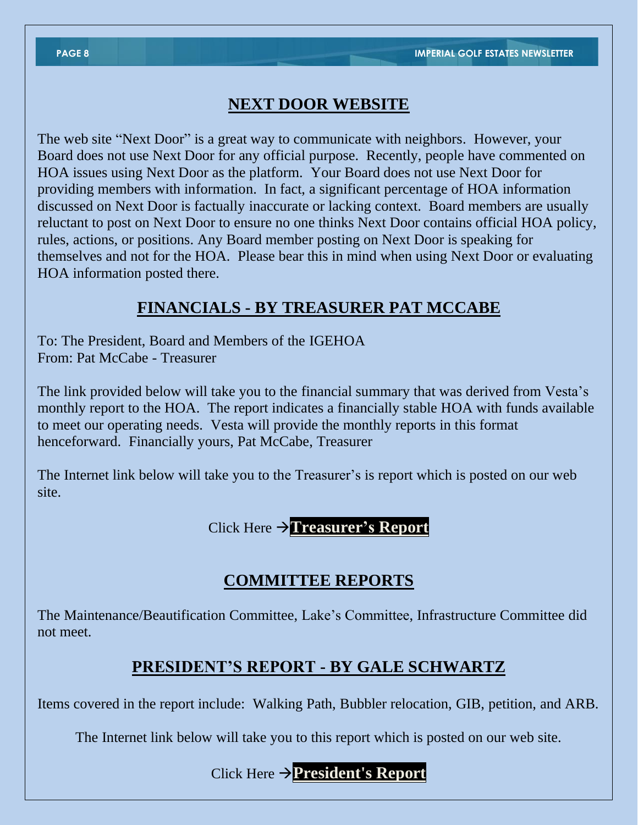## **NEXT DOOR WEBSITE**

The web site "Next Door" is a great way to communicate with neighbors. However, your Board does not use Next Door for any official purpose. Recently, people have commented on HOA issues using Next Door as the platform. Your Board does not use Next Door for providing members with information. In fact, a significant percentage of HOA information discussed on Next Door is factually inaccurate or lacking context. Board members are usually reluctant to post on Next Door to ensure no one thinks Next Door contains official HOA policy, rules, actions, or positions. Any Board member posting on Next Door is speaking for themselves and not for the HOA. Please bear this in mind when using Next Door or evaluating HOA information posted there.

# **FINANCIALS - BY TREASURER PAT MCCABE**

To: The President, Board and Members of the IGEHOA From: Pat McCabe - Treasurer

The link provided below will take you to the financial summary that was derived from Vesta's monthly report to the HOA. The report indicates a financially stable HOA with funds available to meet our operating needs. Vesta will provide the monthly reports in this format henceforward. Financially yours, Pat McCabe, Treasurer

The Internet link below will take you to the Treasurer's is report which is posted on our web site.

Click Here →**[Treasurer's](https://imperialgolfestates.info/reports/2021/October/Aug21%20-%20Web%20Financial%20Pack.pdf) Report**

# **COMMITTEE REPORTS**

The Maintenance/Beautification Committee, Lake's Committee, Infrastructure Committee did not meet.

# **PRESIDENT'S REPORT - BY GALE SCHWARTZ**

Items covered in the report include: Walking Path, Bubbler relocation, GIB, petition, and ARB.

The Internet link below will take you to this report which is posted on our web site.

Click Here →**[President's](https://imperialgolfestates.info/reports/2021/October/OCTOBER%202021%20PRESIDENT.pdf) Report**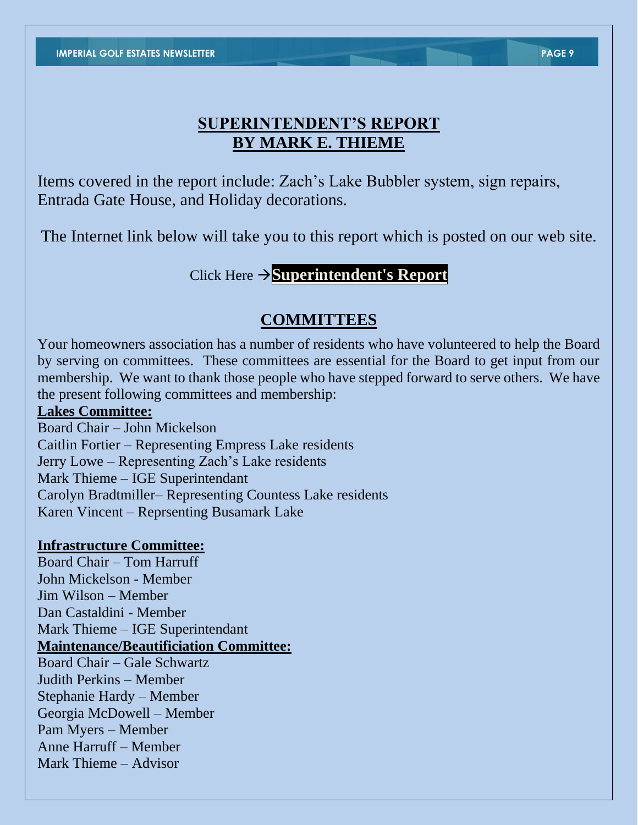# **SUPERINTENDENT'S REPORT BY MARK E. THIEME**

Items covered in the report include: Zach's Lake Bubbler system, sign repairs, Entrada Gate House, and Holiday decorations.

The Internet link below will take you to this report which is posted on our web site.

Click Here →**[Superintendent's](https://imperialgolfestates.info/reports/2021/November/11%20November%2015th%202021%20Report.pdf) Report**

## **COMMITTEES**

Your homeowners association has a number of residents who have volunteered to help the Board by serving on committees. These committees are essential for the Board to get input from our membership. We want to thank those people who have stepped forward to serve others. We have the present following committees and membership:

#### **Lakes Committee:**

Board Chair – John Mickelson Caitlin Fortier – Representing Empress Lake residents Jerry Lowe – Representing Zach's Lake residents Mark Thieme – IGE Superintendant Carolyn Bradtmiller– Representing Countess Lake residents Karen Vincent – Reprsenting Busamark Lake

#### **Infrastructure Committee:**

Board Chair – Tom Harruff John Mickelson - Member Jim Wilson – Member Dan Castaldini - Member Mark Thieme – IGE Superintendant **Maintenance/Beautificiation Committee:** Board Chair – Gale Schwartz Judith Perkins – Member Stephanie Hardy – Member Georgia McDowell – Member Pam Myers – Member Anne Harruff – Member

Mark Thieme – Advisor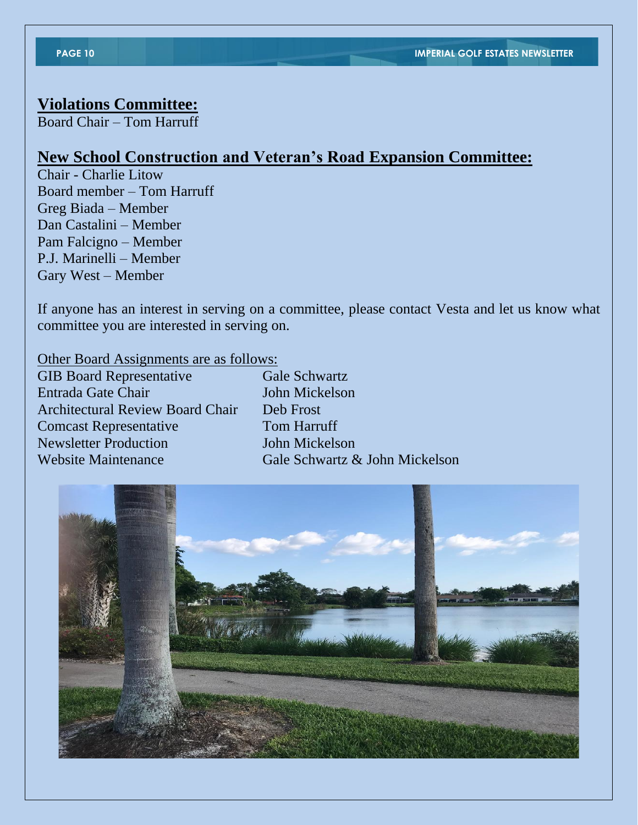## **Violations Committee:**

Board Chair – Tom Harruff

# **New School Construction and Veteran's Road Expansion Committee:**

Chair - Charlie Litow Board member – Tom Harruff Greg Biada – Member Dan Castalini – Member Pam Falcigno – Member P.J. Marinelli – Member Gary West – Member

If anyone has an interest in serving on a committee, please contact Vesta and let us know what committee you are interested in serving on.

Other Board Assignments are as follows:

GIB Board Representative Gale Schwartz Entrada Gate Chair John Mickelson Architectural Review Board Chair Deb Frost Comcast Representative Tom Harruff Newsletter Production **John Mickelson** Website Maintenance Gale Schwartz & John Mickelson

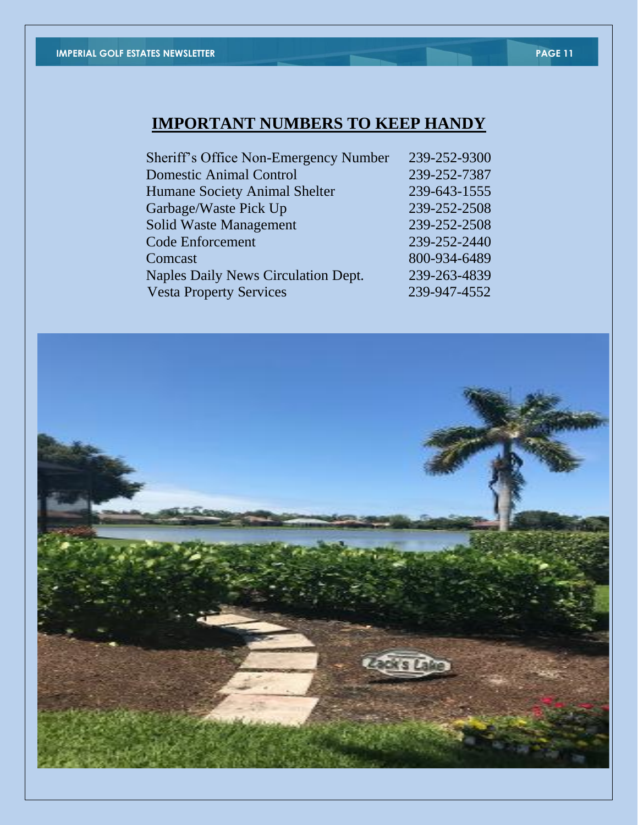# **IMPORTANT NUMBERS TO KEEP HANDY**

| Sheriff's Office Non-Emergency Number | 239-252-9300 |
|---------------------------------------|--------------|
| <b>Domestic Animal Control</b>        | 239-252-7387 |
| Humane Society Animal Shelter         | 239-643-1555 |
| Garbage/Waste Pick Up                 | 239-252-2508 |
| <b>Solid Waste Management</b>         | 239-252-2508 |
| <b>Code Enforcement</b>               | 239-252-2440 |
| Comcast                               | 800-934-6489 |
| Naples Daily News Circulation Dept.   | 239-263-4839 |
| <b>Vesta Property Services</b>        | 239-947-4552 |
|                                       |              |